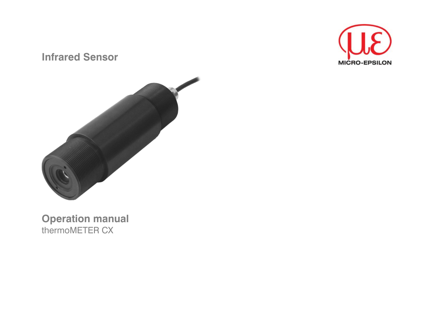# **Infrared Sensor**





# **Operation manual**<br>thermoMETER CX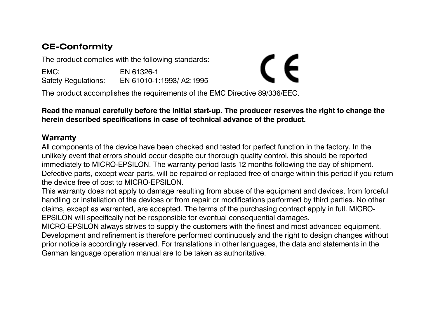# **CE-Conformity**

The product complies with the following standards:

EMC: EN 61326-1 Safety Regulations: EN 61010-1:1993/ A2:1995

The product accomplishes the requirements of the EMC Directive 89/336/EEC.

**Read the manual carefully before the initial start-up. The producer reserves the right to change the herein described specifications in case of technical advance of the product.** 

C E

### **Warranty**

All components of the device have been checked and tested for perfect function in the factory. In the unlikely event that errors should occur despite our thorough quality control, this should be reported immediately to MICRO-EPSILON. The warranty period lasts 12 months following the day of shipment. Defective parts, except wear parts, will be repaired or replaced free of charge within this period if you return the device free of cost to MICRO-EPSILON.

This warranty does not apply to damage resulting from abuse of the equipment and devices, from forceful handling or installation of the devices or from repair or modifications performed by third parties. No other claims, except as warranted, are accepted. The terms of the purchasing contract apply in full. MICRO-EPSILON will specifically not be responsible for eventual consequential damages.

MICRO-EPSILON always strives to supply the customers with the finest and most advanced equipment. Development and refinement is therefore performed continuously and the right to design changes without prior notice is accordingly reserved. For translations in other languages, the data and statements in the German language operation manual are to be taken as authoritative.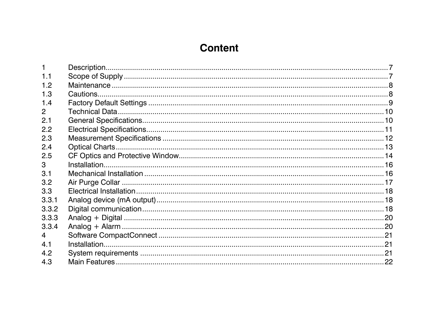# **Content**

| 11             |  |
|----------------|--|
| 12             |  |
| 1.3            |  |
| 1.4            |  |
| $\mathcal{P}$  |  |
| 2.1            |  |
| 2.2            |  |
| 2.3            |  |
| 2.4            |  |
| 2.5            |  |
| 3              |  |
| 3 <sub>1</sub> |  |
| 3.2            |  |
| 3.3            |  |
| 3.3.1          |  |
| 3.3.2          |  |
| 3.3.3          |  |
| 3.3.4          |  |
| $\overline{4}$ |  |
| 4.1            |  |
| 4.2            |  |
| 4.3            |  |
|                |  |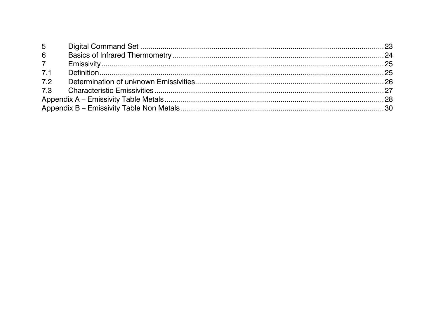| $5^{\circ}$     |  |  |  |
|-----------------|--|--|--|
| $6\overline{6}$ |  |  |  |
| 7               |  |  |  |
| 7.1             |  |  |  |
| 7.2             |  |  |  |
|                 |  |  |  |
|                 |  |  |  |
|                 |  |  |  |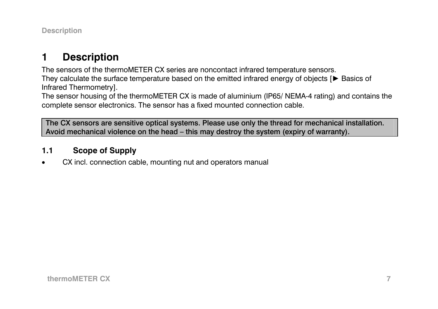<span id="page-6-0"></span>**Description** 

#### **1Description**

The sensors of the thermoMETER CX series are noncontact infrared temperature sensors. They calculate the surface temperature based on the emitted infrared energy of objects [► Basics of

Infrared Thermometry].

The sensor housing of the thermoMETER CX is made of aluminium (IP65/ NEMA-4 rating) and contains the complete sensor electronics. The sensor has a fixed mounted connection cable.

The CX sensors are sensitive optical systems. Please use only the thread for mechanical installation. Avoid mechanical violence on the head – this may destroy the system (expiry of warranty).

#### **1.1Scope of Supply**

•CX incl. connection cable, mounting nut and operators manual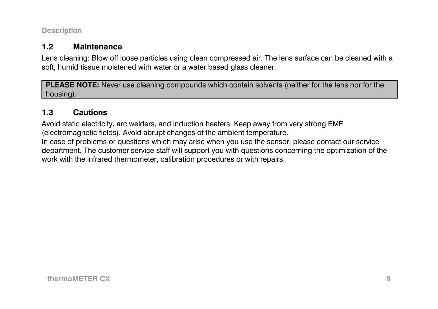<span id="page-7-0"></span>**Description** 

#### **1.2Maintenance**

Lens cleaning: Blow off loose particles using clean compressed air. The lens surface can be cleaned with a soft, humid tissue moistened with water or a water based glass cleaner.

**PLEASE NOTE:** Never use cleaning compounds which contain solvents (neither for the lens nor for the housing).

#### **1.3Cautions**

Avoid static electricity, arc welders, and induction heaters. Keep away from very strong EMF (electromagnetic fields). Avoid abrupt changes of the ambient temperature. In case of problems or questions which may arise when you use the sensor, please contact our service department. The customer service staff will support you with questions concerning the optimization of the work with the infrared thermometer, calibration procedures or with repairs.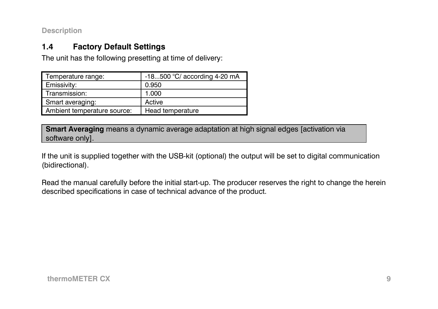<span id="page-8-0"></span>**Description** 

#### **1.4Factory Default Settings**

The unit has the following presetting at time of delivery:

| Temperature range:          | -18500 °C/ according 4-20 mA |
|-----------------------------|------------------------------|
| Emissivity:                 | 0.950                        |
| Transmission:               | 1.000                        |
| Smart averaging:            | Active                       |
| Ambient temperature source: | Head temperature             |

**Smart Averaging** means a dynamic average adaptation at high signal edges [activation via software only].

If the unit is supplied together with the USB-kit (optional) the output will be set to digital communication (bidirectional).

Read the manual carefully before the initial start-up. The producer reserves the right to change the herein described specifications in case of technical advance of the product.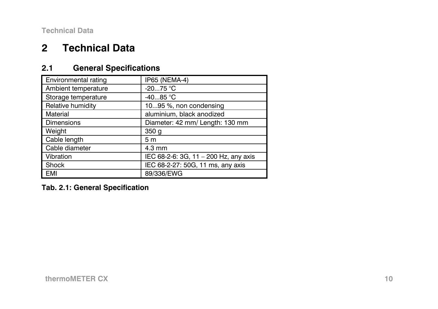#### <span id="page-9-0"></span>**2Technical Data**

#### **2.1General Specifications**

| <b>Environmental rating</b> | IP65 (NEMA-4)                         |  |
|-----------------------------|---------------------------------------|--|
| Ambient temperature         | $-2075 °C$                            |  |
| Storage temperature         | $-4085 °C$                            |  |
| Relative humidity           | 1095 %, non condensing                |  |
| Material                    | aluminium, black anodized             |  |
| Dimensions                  | Diameter: 42 mm/ Length: 130 mm       |  |
| Weight                      | 350 <sub>g</sub>                      |  |
| Cable length                | 5 <sub>m</sub>                        |  |
| Cable diameter              | $4.3 \text{ mm}$                      |  |
| Vibration                   | IEC 68-2-6: 3G, 11 - 200 Hz, any axis |  |
| Shock                       | IEC 68-2-27: 50G, 11 ms, any axis     |  |
| EMI                         | 89/336/EWG                            |  |

**Tab. 2.1: General Specification**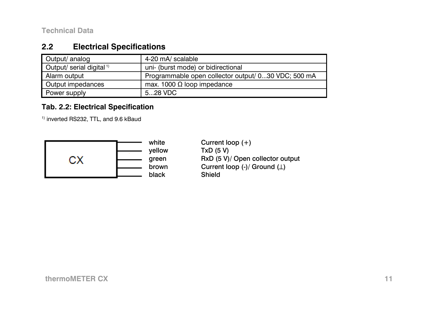#### <span id="page-10-0"></span>**2.2Electrical Specifications**

| Output/ analog                       | 4-20 mA/ scalable                                   |
|--------------------------------------|-----------------------------------------------------|
| Output/ serial digital <sup>1)</sup> | uni- (burst mode) or bidirectional                  |
| Alarm output                         | Programmable open collector output/ 030 VDC; 500 mA |
| Output impedances                    | max. 1000 $\Omega$ loop impedance                   |
| Power supply                         | $528$ VDC                                           |

# **Tab. 2.2: Electrical Specification**

<sup>1)</sup> inverted RS232, TTL, and 9.6 kBaud



white Current loop  $(+)$ yellow TxD (5 V)<br>green RxD (5 V) RxD (5 V)/ Open collector output brown Current loop (-)/ Ground (⊥)<br>black Shield Shield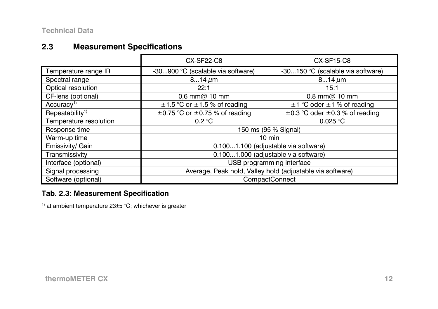#### <span id="page-11-0"></span>**2.3Measurement Specifications**

|                                 | CX-SF22-C8                                                | <b>CX-SF15-C8</b>                        |  |
|---------------------------------|-----------------------------------------------------------|------------------------------------------|--|
| Temperature range IR            | -30900 °C (scalable via software)                         | -30150 °C (scalable via software)        |  |
| Spectral range                  | $814 \mu m$                                               | $814 \,\mu m$                            |  |
| Optical resolution              | 22:1                                                      | 15:1                                     |  |
| CF-lens (optional)              | $0,6$ mm $@$ 10 mm                                        | $0.8$ mm $@$ 10 mm                       |  |
| Accuracy <sup>1</sup>           | $\pm$ 1.5 °C or $\pm$ 1.5 % of reading                    | $\pm$ 1 °C oder $\pm$ 1 % of reading     |  |
| $Repeated$ bility <sup>1)</sup> | $\pm$ 0.75 °C or $\pm$ 0.75 % of reading                  | $\pm$ 0.3 °C oder $\pm$ 0.3 % of reading |  |
| Temperature resolution          | 0.2 °C                                                    | 0.025 °C                                 |  |
| Response time                   | 150 ms (95 % Signal)                                      |                                          |  |
| Warm-up time                    | $10 \text{ min}$                                          |                                          |  |
| Emissivity/ Gain                | 0.1001.100 (adjustable via software)                      |                                          |  |
| Transmissivity                  | 0.1001.000 (adjustable via software)                      |                                          |  |
| Interface (optional)            | USB programming interface                                 |                                          |  |
| Signal processing               | Average, Peak hold, Valley hold (adjustable via software) |                                          |  |
| Software (optional)             | <b>CompactConnect</b>                                     |                                          |  |

# **Tab. 2.3: Measurement Specification**

 $1)$  at ambient temperature 23 $\pm$ 5 °C; whichever is greater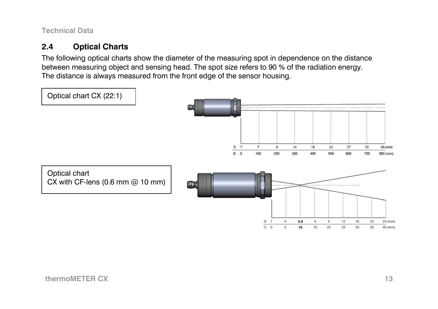#### <span id="page-12-0"></span>**2.4Optical Charts**

The following optical charts show the diameter of the measuring spot in dependence on the distance between measuring object and sensing head. The spot size refers to 90 % of the radiation energy. The distance is always measured from the front edge of the sensor housing.

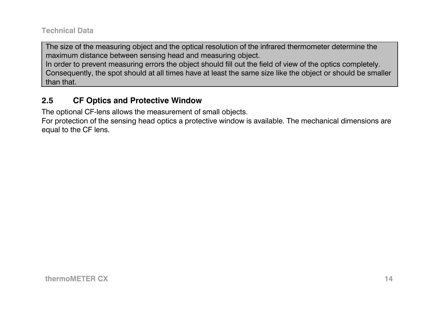<span id="page-13-0"></span>The size of the measuring object and the optical resolution of the infrared thermometer determine the maximum distance between sensing head and measuring object. In order to prevent measuring errors the object should fill out the field of view of the optics completely. Consequently, the spot should at all times have at least the same size like the object or should be smaller than that.

#### **2.5CF Optics and Protective Window**

The optional CF-lens allows the measurement of small objects.

For protection of the sensing head optics a protective window is available. The mechanical dimensions are equal to the CF lens.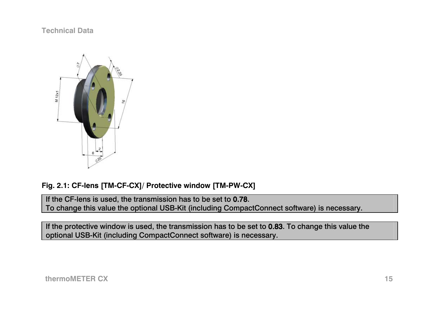

# **Fig. 2.1: CF-lens [TM-CF-CX]/ Protective window [TM-PW-CX]**

If the CF-lens is used, the transmission has to be set to 0.78. To change this value the optional USB-Kit (including CompactConnect software) is necessary.

If the protective window is used, the transmission has to be set to 0.83. To change this value the optional USB-Kit (including CompactConnect software) is necessary.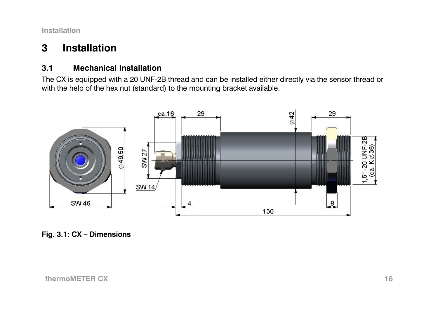#### <span id="page-15-0"></span>**3Installation**

#### **3.1Mechanical Installation**

The CX is equipped with a 20 UNF-2B thread and can be installed either directly via the sensor thread or with the help of the hex nut (standard) to the mounting bracket available.



**Fig. 3.1: CX – Dimensions**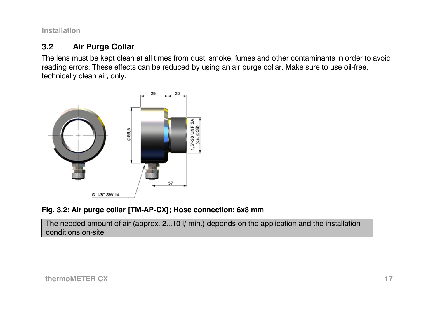#### <span id="page-16-0"></span>**3.2Air Purge Collar**

The lens must be kept clean at all times from dust, smoke, fumes and other contaminants in order to avoid reading errors. These effects can be reduced by using an air purge collar. Make sure to use oil-free, technically clean air, only.



# **Fig. 3.2: Air purge collar [TM-AP-CX]; Hose connection: 6x8 mm**

The needed amount of air (approx. 2...10 l/ min.) depends on the application and the installation conditions on-site.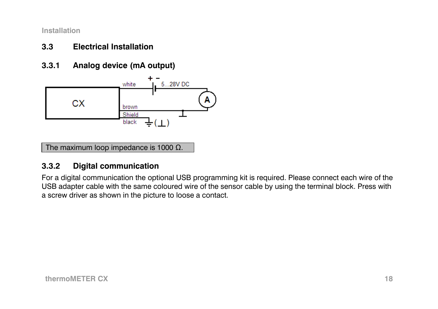#### <span id="page-17-0"></span>**3.3Electrical Installation**

**3.3.1Analog device (mA output)** 



The maximum loop impedance is 1000  $\Omega$ .

#### **3.3.2Digital communication**

For a digital communication the optional USB programming kit is required. Please connect each wire of the USB adapter cable with the same coloured wire of the sensor cable by using the terminal block. Press with a screw driver as shown in the picture to loose a contact.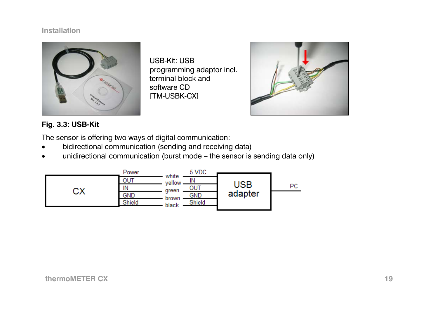

USB-Kit: USB programming adaptor incl. terminal block and software CD [TM-USBK-CX]



# **Fig. 3.3: USB-Kit**

The sensor is offering two ways of digital communication:

- •bidirectional communication (sending and receiving data)
- •unidirectional communication (burst mode – the sensor is sending data only)

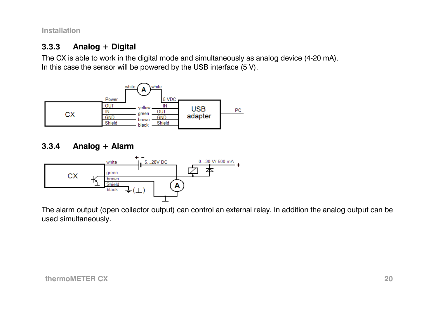#### <span id="page-19-0"></span>**3.3.3Analog + Digital**

The CX is able to work in the digital mode and simultaneously as analog device (4-20 mA). In this case the sensor will be powered by the USB interface (5 V).



#### **3.3.4Analog + Alarm**



The alarm output (open collector output) can control an external relay. In addition the analog output can be used simultaneously.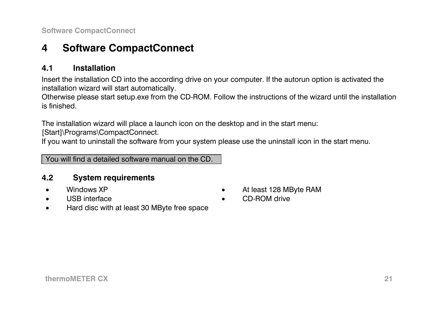<span id="page-20-0"></span>**Software CompactConnect** 

#### **4Software CompactConnect**

#### **4.1Installation**

Insert the installation CD into the according drive on your computer. If the autorun option is activated the installation wizard will start automatically.

Otherwise please start setup.exe from the CD-ROM. Follow the instructions of the wizard until the installation is finished.

The installation wizard will place a launch icon on the desktop and in the start menu:

[Start]\Programs\CompactConnect.

If you want to uninstall the software from your system please use the uninstall icon in the start menu.

You will find a detailed software manual on the CD.

#### **4.2System requirements**

- •
- •
- Windows XP  **At least 128 MByte RAM**
- USB interface  **CD-ROM** drive
- •Hard disc with at least 30 MByte free space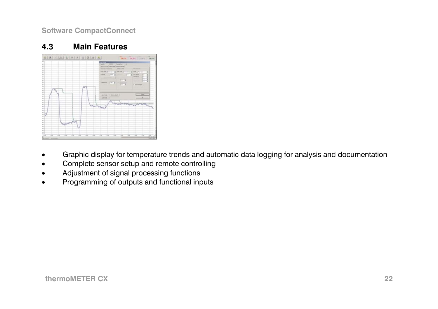<span id="page-21-0"></span>**Software CompactConnect** 

#### **4.3Main Features**



- •Graphic display for temperature trends and automatic data logging for analysis and documentation
- •Complete sensor setup and remote controlling
- •Adjustment of signal processing functions
- •Programming of outputs and functional inputs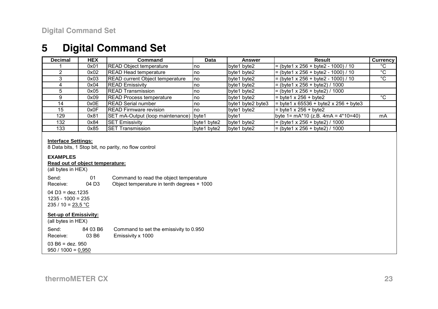#### <span id="page-22-0"></span>**5Digital Command Set**

| <b>Decimal</b> | <b>HEX</b> | Command                                | Data        | Answer            | Result                                   | <b>Currency</b> |
|----------------|------------|----------------------------------------|-------------|-------------------|------------------------------------------|-----------------|
|                | 0x01       | <b>READ Object temperature</b>         | no          | byte1 byte2       | $=$ (byte1 x 256 + byte2 - 1000) / 10    | °С              |
|                | 0x02       | <b>READ Head temperature</b>           | Ino         | byte1 byte2       | $=$ (byte1 x 256 + byte2 - 1000) / 10    | °C              |
|                | 0x03       | READ current Object temperature        | Ino         | byte1 byte2       | $=$ (byte1 x 256 + byte2 - 1000) / 10    | °C              |
|                | 0x04       | <b>READ Emissivity</b>                 | Ino         | byte1 byte2       | = (byte1 x 256 + byte2) / 1000           |                 |
|                | 0x05       | <b>READ Transmission</b>               | Ino         | byte1 byte2       | $=$ (byte1 x 256 + byte2) / 1000         |                 |
|                | 0x09       | <b>READ Process temperature</b>        | Ino         | byte1 byte2       | $=$ byte1 x 256 + byte2                  | °C              |
| 14             | 0x0E       | <b>READ Serial number</b>              | Ino         | byte1 byte2 byte3 | $=$ byte1 x 65536 + byte2 x 256 + byte3  |                 |
| 15             | 0x0F       | <b>READ Firmware revision</b>          | Ino         | byte1 byte2       | $=$ byte1 x 256 + byte2                  |                 |
| 129            | 0x81       | SET mA-Output (loop maintenance) byte1 |             | byte1             | byte $1 = mA*10$ (z.B. $4mA = 4*10=40$ ) | mA              |
| 132            | 0x84       | <b>SET Emissivity</b>                  | byte1 byte2 | byte1 byte2       | = (byte1 x 256 + byte2) / 1000           |                 |
| 133            | 0x85       | <b>SET Transmission</b>                | byte1 byte2 | byte1 byte2       | $=$ (byte1 x 256 + byte2) / 1000         |                 |

#### **Interface Settings:**

8 Data bits, 1 Stop bit, no parity, no flow control

#### **EXAMPLES**

### **Read out of object temperature:**

(all bytes in HEX)

| Send:    | 01                | Command to read the object temperature     |
|----------|-------------------|--------------------------------------------|
| Receive: | 04 D <sub>3</sub> | Object temperature in tenth degrees + 1000 |

04 D3 = dez.1235 1235 - 1000 = 235 $235 / 10 = 23.5 °C$ 

#### **Set-up of Emissivity:**

(all bytes in HEX)

Send: 84 03 B6 Command to set the emissivity to 0.950<br>
Receive: 03 B6 Emissivity x 1000 Receive: 03 B6 Emissivity x 1000

03 B6 = dez. 950 $950 / 1000 = 0,950$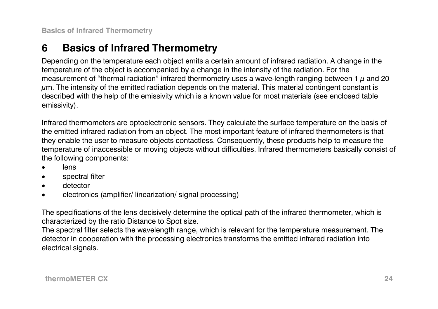#### <span id="page-23-0"></span>**6Basics of Infrared Thermometry**

Depending on the temperature each object emits a certain amount of infrared radiation. A change in the temperature of the object is accompanied by a change in the intensity of the radiation. For the measurement of "thermal radiation" infrared thermometry uses a wave-length ranging between 1  $\mu$  and 20  $\mu$ m. The intensity of the emitted radiation depends on the material. This material contingent constant is described with the help of the emissivity which is a known value for most materials (see enclosed table emissivity).

Infrared thermometers are optoelectronic sensors. They calculate the surface temperature on the basis of the emitted infrared radiation from an object. The most important feature of infrared thermometers is that they enable the user to measure objects contactless. Consequently, these products help to measure the temperature of inaccessible or moving objects without difficulties. Infrared thermometers basically consist of the following components:

- •lens
- •spectral filter
- •detector
- •electronics (amplifier/ linearization/ signal processing)

The specifications of the lens decisively determine the optical path of the infrared thermometer, which is characterized by the ratio Distance to Spot size.

The spectral filter selects the wavelength range, which is relevant for the temperature measurement. The detector in cooperation with the processing electronics transforms the emitted infrared radiation into electrical signals.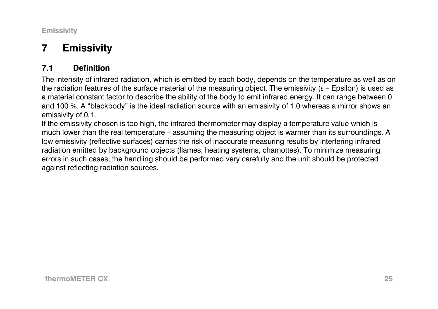<span id="page-24-0"></span>**Emissivity** 

#### **7Emissivity**

#### **7.1Definition**

The intensity of infrared radiation, which is emitted by each body, depends on the temperature as well as on the radiation features of the surface material of the measuring object. The emissivity (ε – Epsilon) is used as a material constant factor to describe the ability of the body to emit infrared energy. It can range between 0 and 100 %. A "blackbody" is the ideal radiation source with an emissivity of 1.0 whereas a mirror shows an emissivity of 0.1.

If the emissivity chosen is too high, the infrared thermometer may display a temperature value which is much lower than the real temperature – assuming the measuring object is warmer than its surroundings. A low emissivity (reflective surfaces) carries the risk of inaccurate measuring results by interfering infrared radiation emitted by background objects (flames, heating systems, chamottes). To minimize measuring errors in such cases, the handling should be performed very carefully and the unit should be protected against reflecting radiation sources.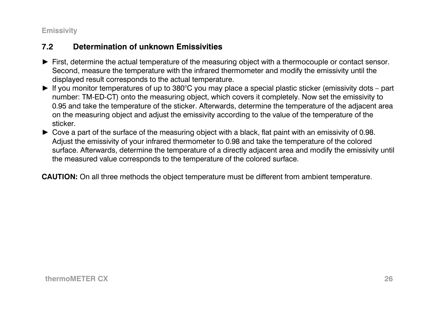<span id="page-25-0"></span>**Emissivity** 

#### **7.2Determination of unknown Emissivities**

- ► First, determine the actual temperature of the measuring object with a thermocouple or contact sensor. Second, measure the temperature with the infrared thermometer and modify the emissivity until the displayed result corresponds to the actual temperature.
- ► If you monitor temperatures of up to 380°C you may place a special plastic sticker (emissivity dots part number: TM-ED-CT) onto the measuring object, which covers it completely. Now set the emissivity to 0.95 and take the temperature of the sticker. Afterwards, determine the temperature of the adjacent area on the measuring object and adjust the emissivity according to the value of the temperature of the sticker.
- ► Cove a part of the surface of the measuring object with a black, flat paint with an emissivity of 0.98. Adjust the emissivity of your infrared thermometer to 0.98 and take the temperature of the colored surface. Afterwards, determine the temperature of a directly adjacent area and modify the emissivity until the measured value corresponds to the temperature of the colored surface.

**CAUTION:** On all three methods the object temperature must be different from ambient temperature.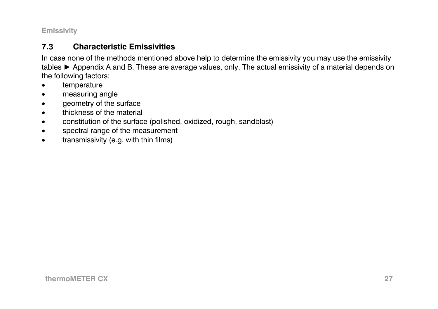<span id="page-26-0"></span>**Emissivity** 

#### **7.3Characteristic Emissivities**

In case none of the methods mentioned above help to determine the emissivity you may use the emissivity tables ► Appendix A and B. These are average values, only. The actual emissivity of a material depends on the following factors:

- •temperature
- •measuring angle
- •geometry of the surface
- •thickness of the material
- •constitution of the surface (polished, oxidized, rough, sandblast)
- •spectral range of the measurement
- •transmissivity (e.g. with thin films)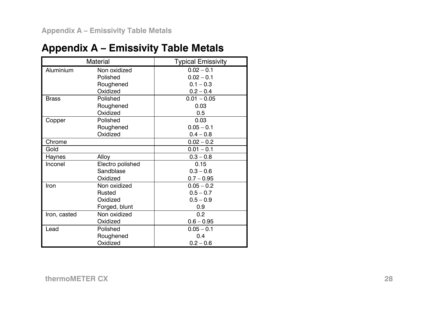# <span id="page-27-0"></span>**Appendix A – Emissivity Table Metals**

|              | Material         | <b>Typical Emissivity</b> |
|--------------|------------------|---------------------------|
| Aluminium    | Non oxidized     | $0.02 - 0.1$              |
|              | Polished         | $0.02 - 0.1$              |
|              | Roughened        | $0.1 - 0.3$               |
|              | Oxidized         | $0.2 - 0.4$               |
| <b>Brass</b> | Polished         | $0.01 - 0.05$             |
|              | Roughened        | 0.03                      |
|              | Oxidized         | 0.5                       |
| Copper       | Polished         | 0.03                      |
|              | Roughened        | $0.05 - 0.1$              |
|              | Oxidized         | $0.4 - 0.8$               |
| Chrome       |                  | $0.02 - 0.2$              |
| Gold         |                  | $0.01 - 0.1$              |
| Haynes       | Alloy            | $0.3 - 0.8$               |
| Inconel      | Electro polished | 0.15                      |
|              | Sandblase        | $0.3 - 0.6$               |
|              | Oxidized         | $0.7 - 0.95$              |
| Iron         | Non oxidized     | $0.05 - 0.2$              |
|              | Rusted           | $0.5 - 0.7$               |
|              | Oxidized         | $0.5 - 0.9$               |
|              | Forged, blunt    | 0.9                       |
| Iron, casted | Non oxidized     | 0.2                       |
|              | Oxidized         | $0.6 - 0.95$              |
| Lead         | Polished         | $0.05 - 0.1$              |
|              | Roughened        | 0.4                       |
|              | Oxidized         | $0.2 - 0.6$               |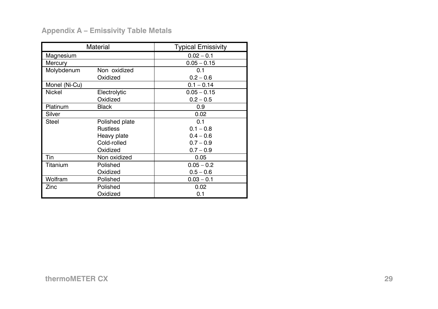# **Appendix A – Emissivity Table Metals**

|               | Material        | <b>Typical Emissivity</b> |
|---------------|-----------------|---------------------------|
| Magnesium     |                 | $0.02 - 0.1$              |
| Mercury       |                 | $0.05 - 0.15$             |
| Molybdenum    | Non oxidized    | 0.1                       |
|               | Oxidized        | $0.2 - 0.6$               |
| Monel (Ni-Cu) |                 | $0.1 - 0.14$              |
| Nickel        | Electrolytic    | $0.05 - 0.15$             |
|               | Oxidized        | $0.2 - 0.5$               |
| Platinum      | Black           | 0.9                       |
| Silver        |                 | 0.02                      |
| <b>Steel</b>  | Polished plate  | 0.1                       |
|               | <b>Rustless</b> | $0.1 - 0.8$               |
|               | Heavy plate     | $0.4 - 0.6$               |
|               | Cold-rolled     | $0.7 - 0.9$               |
|               | Oxidized        | $0.7 - 0.9$               |
| Tin           | Non oxidized    | 0.05                      |
| Titanium      | Polished        | $0.05 - 0.2$              |
|               | Oxidized        | $0.5 - 0.6$               |
| Wolfram       | Polished        | $0.03 - 0.1$              |
| Zinc          | Polished        | 0.02                      |
|               | Oxidized        | 0.1                       |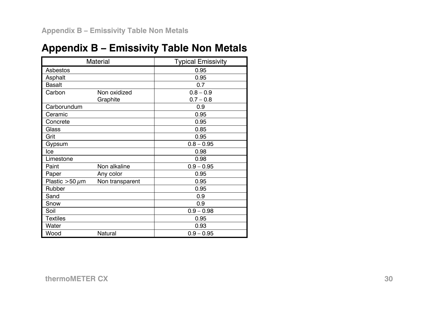# <span id="page-29-0"></span>**Appendix B – Emissivity Table Non Metals**

|                     | Material        | <b>Typical Emissivity</b> |
|---------------------|-----------------|---------------------------|
| Asbestos            |                 | 0.95                      |
| Asphalt             |                 | 0.95                      |
| <b>Basalt</b>       |                 | 0.7                       |
| Carbon              | Non oxidized    | $0.8 - 0.9$               |
|                     | Graphite        | $0.7 - 0.8$               |
| Carborundum         |                 | 0.9                       |
| Ceramic             |                 | 0.95                      |
| Concrete            |                 | 0.95                      |
| Glass               |                 | 0.85                      |
| Grit                |                 | 0.95                      |
| Gypsum              |                 | $0.8 - 0.95$              |
| Ice                 |                 | 0.98                      |
| Limestone           |                 | 0.98                      |
| Paint               | Non alkaline    | $0.9 - 0.95$              |
| Paper               | Any color       | 0.95                      |
| Plastic $>50 \mu m$ | Non transparent | 0.95                      |
| Rubber              |                 | 0.95                      |
| Sand                |                 | 0.9                       |
| Snow                |                 | 0.9                       |
| Soil                |                 | $0.9 - 0.98$              |
| <b>Textiles</b>     |                 | 0.95                      |
| Water               |                 | 0.93                      |
| Wood                | Natural         | $0.9 - 0.95$              |